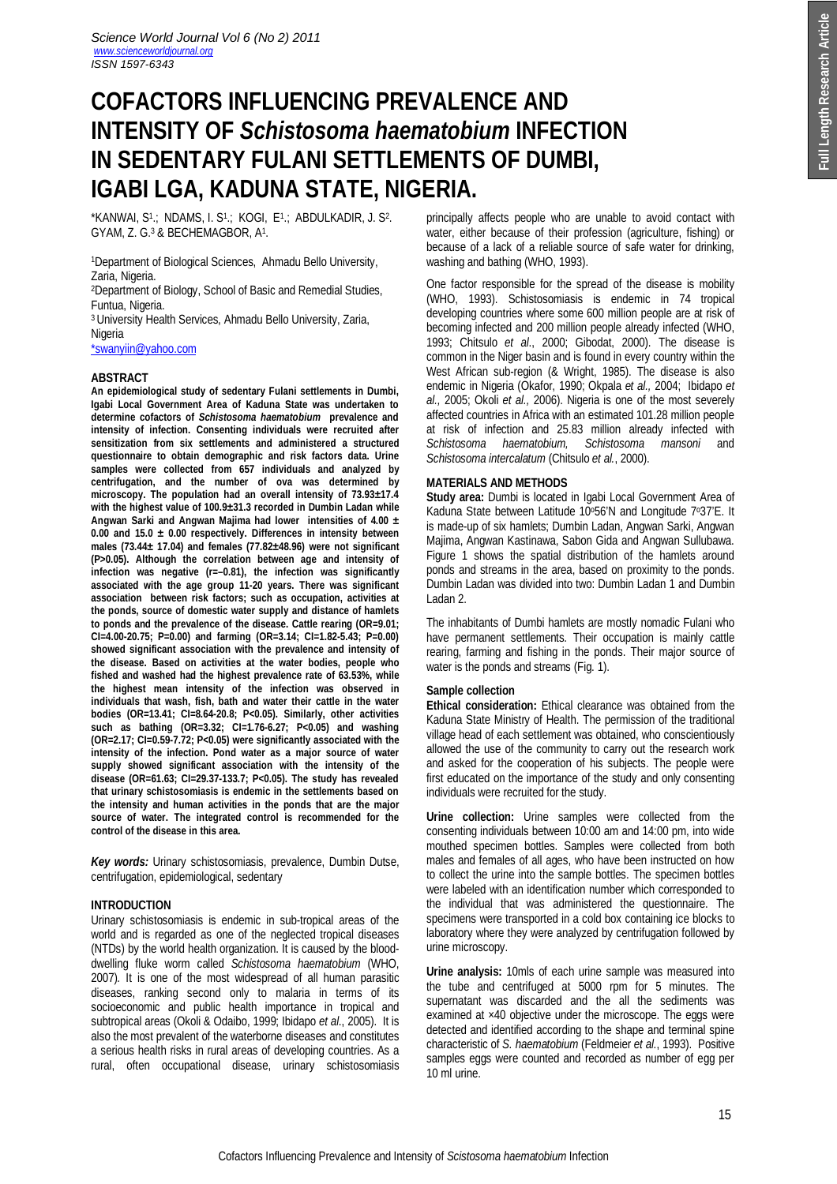# **COFACTORS INFLUENCING PREVALENCE AND INTENSITY OF** *Schistosoma haematobium* **INFECTION IN SEDENTARY FULANI SETTLEMENTS OF DUMBI, IGABI LGA, KADUNA STATE, NIGERIA.**

\*Kanwai, S1.; Ndams, I. S1.; Kogi, E1.; Abdulkadir, J. S2. GYAM, Z. G.<sup>3</sup> & BECHEMAGBOR, A<sup>1</sup>.

<sup>1</sup>Department of Biological Sciences, Ahmadu Bello University, Zaria, Nigeria.

<sup>2</sup>Department of Biology, School of Basic and Remedial Studies, Funtua, Nigeria.

<sup>3</sup>University Health Services, Ahmadu Bello University, Zaria, Nigeria

\*swanyiin@yahoo.com

#### **ABSTRACT**

**An epidemiological study of sedentary Fulani settlements in Dumbi, Igabi Local Government Area of Kaduna State was undertaken to determine cofactors of** *Schistosoma haematobium* **prevalence and intensity of infection. Consenting individuals were recruited after sensitization from six settlements and administered a structured questionnaire to obtain demographic and risk factors data. Urine samples were collected from 657 individuals and analyzed by centrifugation, and the number of ova was determined by microscopy. The population had an overall intensity of 73.93±17.4 with the highest value of 100.9±31.3 recorded in Dumbin Ladan while Angwan Sarki and Angwan Majima had lower intensities of 4.00 ± 0.00 and 15.0 ± 0.00 respectively. Differences in intensity between males (73.44± 17.04) and females (77.82±48.96) were not significant (P>0.05). Although the correlation between age and intensity of infection was negative (r=–0.81), the infection was significantly associated with the age group 11-20 years. There was significant association between risk factors; such as occupation, activities at the ponds, source of domestic water supply and distance of hamlets to ponds and the prevalence of the disease. Cattle rearing (OR=9.01; CI=4.00-20.75; P=0.00) and farming (OR=3.14; CI=1.82-5.43; P=0.00) showed significant association with the prevalence and intensity of the disease. Based on activities at the water bodies, people who fished and washed had the highest prevalence rate of 63.53%, while the highest mean intensity of the infection was observed in individuals that wash, fish, bath and water their cattle in the water bodies (OR=13.41; CI=8.64-20.8; P<0.05). Similarly, other activities such as bathing (OR=3.32; CI=1.76-6.27; P<0.05) and washing (OR=2.17; CI=0.59-7.72; P<0.05) were significantly associated with the intensity of the infection. Pond water as a major source of water supply showed significant association with the intensity of the disease (OR=61.63; CI=29.37-133.7; P<0.05). The study has revealed that urinary schistosomiasis is endemic in the settlements based on the intensity and human activities in the ponds that are the major source of water. The integrated control is recommended for the control of the disease in this area.**

*Key words:* Urinary schistosomiasis, prevalence, Dumbin Dutse, centrifugation, epidemiological, sedentary

# **INTRODUCTION**

Urinary schistosomiasis is endemic in sub-tropical areas of the world and is regarded as one of the neglected tropical diseases (NTDs) by the world health organization. It is caused by the blooddwelling fluke worm called *Schistosoma haematobium* (WHO, 2007)*.* It is one of the most widespread of all human parasitic diseases, ranking second only to malaria in terms of its socioeconomic and public health importance in tropical and subtropical areas (Okoli & Odaibo, 1999; Ibidapo *et al*., 2005). It is also the most prevalent of the waterborne diseases and constitutes a serious health risks in rural areas of developing countries. As a rural, often occupational disease, urinary schistosomiasis principally affects people who are unable to avoid contact with water, either because of their profession (agriculture, fishing) or because of a lack of a reliable source of safe water for drinking, washing and bathing (WHO, 1993).

One factor responsible for the spread of the disease is mobility (WHO, 1993). Schistosomiasis is endemic in 74 tropical developing countries where some 600 million people are at risk of becoming infected and 200 million people already infected (WHO, 1993; Chitsulo *et al*., 2000; Gibodat, 2000). The disease is common in the Niger basin and is found in every country within the West African sub-region (& Wright, 1985). The disease is also endemic in Nigeria (Okafor, 1990; Okpala *et al.,* 2004; Ibidapo *et al.,* 2005; Okoli *et al.,* 2006). Nigeria is one of the most severely affected countries in Africa with an estimated 101.28 million people at risk of infection and 25.83 million already infected with *Schistosoma haematobium, Schistosoma mansoni* and *Schistosoma intercalatum* (Chitsulo *et al.*, 2000).

### **MATERIALS AND METHODS**

**Study area:** Dumbi is located in Igabi Local Government Area of Kaduna State between Latitude 10°56'N and Longitude 7°37'E. It is made-up of six hamlets; Dumbin Ladan, Angwan Sarki, Angwan Majima, Angwan Kastinawa, Sabon Gida and Angwan Sullubawa. Figure 1 shows the spatial distribution of the hamlets around ponds and streams in the area, based on proximity to the ponds. Dumbin Ladan was divided into two: Dumbin Ladan 1 and Dumbin Ladan 2.

The inhabitants of Dumbi hamlets are mostly nomadic Fulani who have permanent settlements. Their occupation is mainly cattle rearing, farming and fishing in the ponds. Their major source of water is the ponds and streams (Fig. 1).

#### **Sample collection**

**Ethical consideration:** Ethical clearance was obtained from the Kaduna State Ministry of Health. The permission of the traditional village head of each settlement was obtained, who conscientiously allowed the use of the community to carry out the research work and asked for the cooperation of his subjects. The people were first educated on the importance of the study and only consenting individuals were recruited for the study.

**Urine collection:** Urine samples were collected from the consenting individuals between 10:00 am and 14:00 pm, into wide mouthed specimen bottles. Samples were collected from both males and females of all ages, who have been instructed on how to collect the urine into the sample bottles. The specimen bottles were labeled with an identification number which corresponded to the individual that was administered the questionnaire. The specimens were transported in a cold box containing ice blocks to laboratory where they were analyzed by centrifugation followed by urine microscopy.

**Urine analysis:** 10mls of each urine sample was measured into the tube and centrifuged at 5000 rpm for 5 minutes. The supernatant was discarded and the all the sediments was examined at ×40 objective under the microscope. The eggs were detected and identified according to the shape and terminal spine characteristic of *S. haematobium* (Feldmeier *et al*., 1993). Positive samples eggs were counted and recorded as number of egg per 10 ml urine.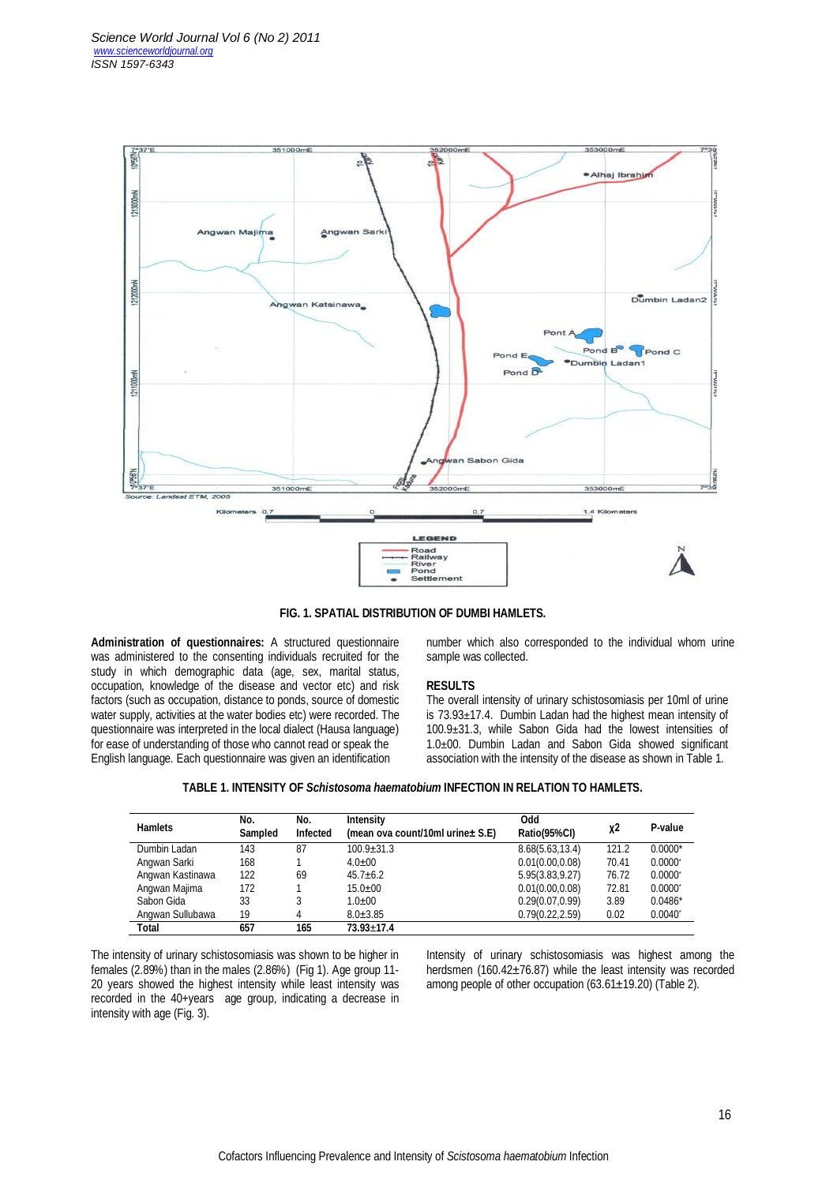

**FIG. 1. SPATIAL DISTRIBUTION OF DUMBI HAMLETS.**

**Administration of questionnaires:** A structured questionnaire was administered to the consenting individuals recruited for the study in which demographic data (age, sex, marital status, occupation, knowledge of the disease and vector etc) and risk factors (such as occupation, distance to ponds, source of domestic water supply, activities at the water bodies etc) were recorded. The questionnaire was interpreted in the local dialect (Hausa language) for ease of understanding of those who cannot read or speak the English language. Each questionnaire was given an identification

number which also corresponded to the individual whom urine sample was collected.

# **RESULTS**

The overall intensity of urinary schistosomiasis per 10ml of urine is  $73.93±17.4$ . Dumbin Ladan had the highest mean intensity of 100.9±31.3, while Sabon Gida had the lowest intensities of 1.0±00. Dumbin Ladan and Sabon Gida showed significant association with the intensity of the disease as shown in Table 1.

| <b>Hamlets</b>   | No.<br><b>Sampled</b> | No.<br><b>Infected</b> | <b>Intensity</b><br>(mean ova count/10ml urine $\pm$ S.E) | <b>Odd</b><br>Ratio(95%CI) | χ2    | P-value          |
|------------------|-----------------------|------------------------|-----------------------------------------------------------|----------------------------|-------|------------------|
| Dumbin Ladan     | 143                   | 87                     | $100.9 + 31.3$                                            | 8.68(5.63, 13.4)           | 121.2 | $0.0000*$        |
| Angwan Sarki     | 168                   |                        | $4.0 + 00$                                                | 0.01(0.00, 0.08)           | 70.41 | $0.0000^{\circ}$ |
| Angwan Kastinawa | 122                   | 69                     | $45.7 + 6.2$                                              | 5.95(3.83, 9.27)           | 76.72 | $0.0000^{\circ}$ |
| Angwan Majima    | 172                   |                        | $15.0 + 00$                                               | 0.01(0.00, 0.08)           | 72.81 | $0.0000^{\circ}$ |
| Sabon Gida       | 33                    | 3                      | $1.0 + 00$                                                | 0.29(0.07, 0.99)           | 3.89  | $0.0486*$        |
| Angwan Sullubawa | 19                    | 4                      | $8.0 + 3.85$                                              | 0.79(0.22, 2.59)           | 0.02  | $0.0040^*$       |
| <b>Total</b>     | 657                   | 165                    | $73.93 + 17.4$                                            |                            |       |                  |

|--|

The intensity of urinary schistosomiasis was shown to be higher in females (2.89%) than in the males (2.86%) (Fig 1). Age group 11- 20 years showed the highest intensity while least intensity was recorded in the 40+years age group, indicating a decrease in intensity with age (Fig. 3).

Intensity of urinary schistosomiasis was highest among the herdsmen (160.42±76.87) while the least intensity was recorded among people of other occupation  $(63.61 \pm 19.20)$  (Table 2).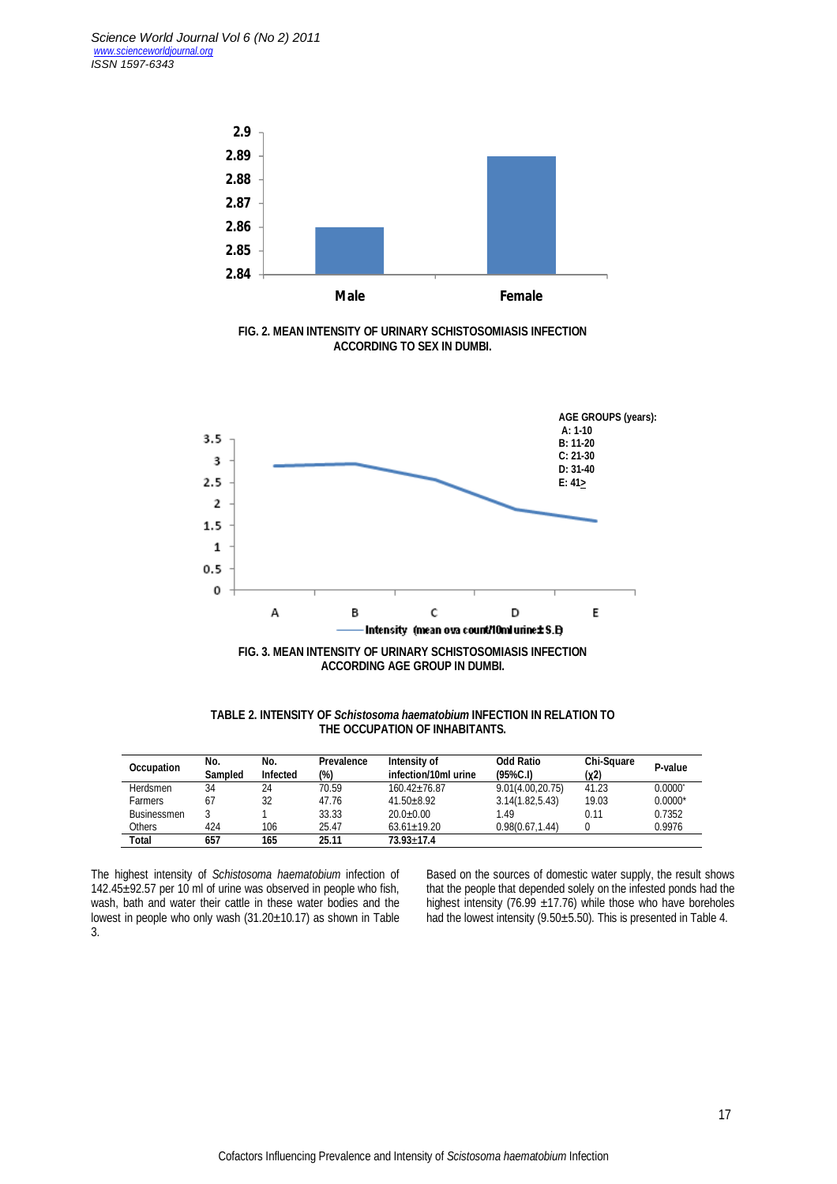

**FIG. 2. MEAN INTENSITY OF URINARY SCHISTOSOMIASIS INFECTION ACCORDING TO SEX IN DUMBI.**





| TABLE 2. INTENSITY OF Schistosoma haematobium INFECTION IN RELATION TO |
|------------------------------------------------------------------------|
| THE OCCUPATION OF INHABITANTS.                                         |

| <b>Occupation</b>  | No.<br><b>Sampled</b> | No.<br><b>Infected</b> | Prevalence<br>(%) | Intensity of<br>infection/10ml urine | <b>Odd Ratio</b><br>(95%C.1) | <b>Chi-Square</b><br>(x2) | P-value          |
|--------------------|-----------------------|------------------------|-------------------|--------------------------------------|------------------------------|---------------------------|------------------|
| <b>Herdsmen</b>    | 34                    | 24                     | 70.59             | $160.42 + 76.87$                     | 9.01(4.00.20.75)             | 41.23                     | $0.0000^{\circ}$ |
| <b>Farmers</b>     | 67                    | 32                     | 47.76             | $41.50 + 8.92$                       | 3.14(1.82.5.43)              | 19.03                     | $0.0000*$        |
| <b>Businessmen</b> |                       |                        | 33.33             | $20.0 + 0.00$                        | 1.49                         | 0.11                      | 0.7352           |
| Others             | 424                   | 106                    | 25.47             | $63.61 + 19.20$                      | 0.98(0.67.1.44)              | 0                         | 0.9976           |
| Total              | 657                   | 165                    | 25.11             | $73.93 \pm 17.4$                     |                              |                           |                  |

The highest intensity of *Schistosoma haematobium* infection of  $142.45\pm92.57$  per 10 ml of urine was observed in people who fish, wash, bath and water their cattle in these water bodies and the lowest in people who only wash (31.20±10.17) as shown in Table 3.

Based on the sources of domestic water supply, the result shows that the people that depended solely on the infested ponds had the highest intensity (76.99  $\pm$ 17.76) while those who have boreholes had the lowest intensity (9.50±5.50). This is presented in Table 4.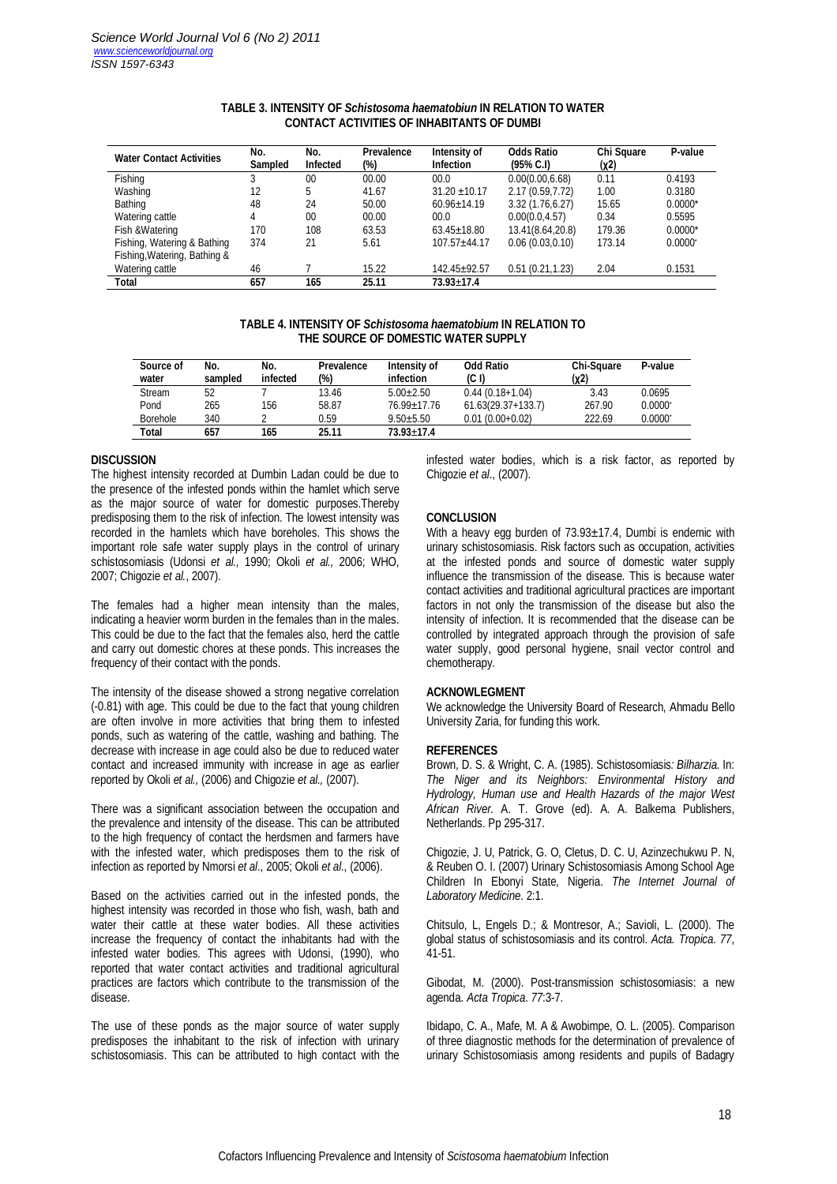| <b>Water Contact Activities</b> | No.<br><b>Sampled</b> | No.<br><b>Infected</b> | Prevalence<br>(%) | Intensity of<br><b>Infection</b> | <b>Odds Ratio</b><br>$(95\% \text{ C. I})$ | Chi Square<br>(x2) | P-value          |
|---------------------------------|-----------------------|------------------------|-------------------|----------------------------------|--------------------------------------------|--------------------|------------------|
| Fishing                         |                       | 00                     | 00.00             | 00.0                             | 0.00(0.00, 6.68)                           | 0.11               | 0.4193           |
| Washing                         | 12                    | 5                      | 41.67             | $31.20 \pm 10.17$                | 2.17 (0.59, 7.72)                          | 1.00               | 0.3180           |
| Bathing                         | 48                    | 24                     | 50.00             | $60.96 \pm 14.19$                | 3.32(1.76.6.27)                            | 15.65              | $0.0000*$        |
| Watering cattle                 | 4                     | $00 \,$                | 00.00             | 00.0                             | 0.00(0.0, 4.57)                            | 0.34               | 0.5595           |
| Fish &Watering                  | 170                   | 108                    | 63.53             | $63.45 \pm 18.80$                | 13.41(8.64,20.8)                           | 179.36             | $0.0000*$        |
| Fishing, Watering & Bathing     | 374                   | 21                     | 5.61              | $107.57 + 44.17$                 | 0.06(0.03.0.10)                            | 173.14             | $0.0000^{\circ}$ |
| Fishing, Watering, Bathing &    |                       |                        |                   |                                  |                                            |                    |                  |
| Watering cattle                 | 46                    |                        | 15.22             | $142.45 + 92.57$                 | 0.51(0.21, 1.23)                           | 2.04               | 0.1531           |
| <b>Total</b>                    | 657                   | 165                    | 25.11             | $73.93 + 17.4$                   |                                            |                    |                  |

# **TABLE 3. INTENSITY OF** *Schistosoma haematobiun* **IN RELATION TO WATER CONTACT ACTIVITIES OF INHABITANTS OF DUMBI**

# **TABLE 4. INTENSITY OF** *Schistosoma haematobium* **IN RELATION TO THE SOURCE OF DOMESTIC WATER SUPPLY**

| Source of<br>water | No.<br>sampled | No.<br>infected | Prevalence<br>(%) | Intensity of<br>infection | <b>Odd Ratio</b><br>(C I) | <b>Chi-Square</b><br>(x2) | P-value               |
|--------------------|----------------|-----------------|-------------------|---------------------------|---------------------------|---------------------------|-----------------------|
| <b>Stream</b>      | 52             |                 | 13.46             | $5.00 + 2.50$             | $0.44(0.18+1.04)$         | 3.43                      | 0.0695                |
| Pond               | 265            | 156             | 58.87             | $76.99 + 17.76$           | $61.63(29.37+133.7)$      | 267.90                    | $0.0000^{\circ}$      |
| <b>Borehole</b>    | 340            |                 | 0.59              | $9.50 + 5.50$             | $0.01(0.00+0.02)$         | 222.69                    | $0.0000$ <sup>*</sup> |
| Total              | 657            | 165             | 25.11             | $73.93 + 17.4$            |                           |                           |                       |

# **DISCUSSION**

The highest intensity recorded at Dumbin Ladan could be due to the presence of the infested ponds within the hamlet which serve as the major source of water for domestic purposes.Thereby predisposing them to the risk of infection. The lowest intensity was recorded in the hamlets which have boreholes. This shows the important role safe water supply plays in the control of urinary schistosomiasis (Udonsi *et al.,* 1990; Okoli *et al.,* 2006; WHO, 2007; Chigozie *et al.*, 2007).

The females had a higher mean intensity than the males, indicating a heavier worm burden in the females than in the males. This could be due to the fact that the females also, herd the cattle and carry out domestic chores at these ponds. This increases the frequency of their contact with the ponds.

The intensity of the disease showed a strong negative correlation (-0.81) with age. This could be due to the fact that young children are often involve in more activities that bring them to infested ponds, such as watering of the cattle, washing and bathing. The decrease with increase in age could also be due to reduced water contact and increased immunity with increase in age as earlier reported by Okoli *et al.,* (2006) and Chigozie *et al.,* (2007).

There was a significant association between the occupation and the prevalence and intensity of the disease. This can be attributed to the high frequency of contact the herdsmen and farmers have with the infested water, which predisposes them to the risk of infection as reported by Nmorsi *et al*., 2005; Okoli *et al.*, (2006).

Based on the activities carried out in the infested ponds, the highest intensity was recorded in those who fish, wash, bath and water their cattle at these water bodies. All these activities increase the frequency of contact the inhabitants had with the infested water bodies. This agrees with Udonsi, (1990), who reported that water contact activities and traditional agricultural practices are factors which contribute to the transmission of the disease.

The use of these ponds as the major source of water supply predisposes the inhabitant to the risk of infection with urinary schistosomiasis. This can be attributed to high contact with the infested water bodies, which is a risk factor, as reported by Chigozie *et al*., (2007).

# **CONCLUSION**

With a heavy egg burden of  $73.93 \pm 17.4$ , Dumbi is endemic with urinary schistosomiasis. Risk factors such as occupation, activities at the infested ponds and source of domestic water supply influence the transmission of the disease. This is because water contact activities and traditional agricultural practices are important factors in not only the transmission of the disease but also the intensity of infection. It is recommended that the disease can be controlled by integrated approach through the provision of safe water supply, good personal hygiene, snail vector control and chemotherapy.

#### **ACKNOWLEGMENT**

We acknowledge the University Board of Research, Ahmadu Bello University Zaria, for funding this work.

# **REFERENCES**

Brown, D. S. & Wright, C. A. (1985). Schistosomiasis*: Bilharzia*. In: *The Niger and its Neighbors: Environmental History and Hydrology, Human use and Health Hazards of the major West African River*. A. T. Grove (ed). A. A. Balkema Publishers, Netherlands. Pp 295-317.

Chigozie, J. U, Patrick, G. O, Cletus, D. C. U, Azinzechukwu P. N, & Reuben O. I. (2007) Urinary Schistosomiasis Among School Age Children In Ebonyi State, Nigeria. *The Internet Journal of Laboratory Medicine*. 2:1.

Chitsulo, L, Engels D.; & Montresor, A.; Savioli, L. (2000). The global status of schistosomiasis and its control. *Acta. Tropica*. *77*, 41-51.

Gibodat, M. (2000). Post-transmission schistosomiasis: a new agenda. *Acta Tropica*. *77*:3-7.

Ibidapo, C. A., Mafe, M. A & Awobimpe, O. L. (2005). Comparison of three diagnostic methods for the determination of prevalence of urinary Schistosomiasis among residents and pupils of Badagry